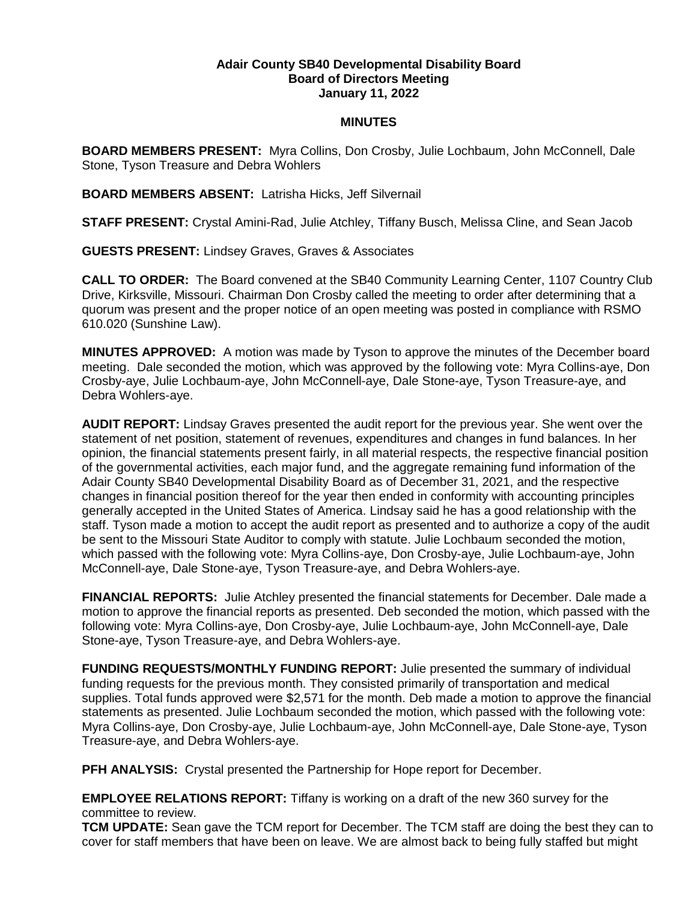## **Adair County SB40 Developmental Disability Board Board of Directors Meeting January 11, 2022**

## **MINUTES**

**BOARD MEMBERS PRESENT:** Myra Collins, Don Crosby, Julie Lochbaum, John McConnell, Dale Stone, Tyson Treasure and Debra Wohlers

**BOARD MEMBERS ABSENT:** Latrisha Hicks, Jeff Silvernail

**STAFF PRESENT:** Crystal Amini-Rad, Julie Atchley, Tiffany Busch, Melissa Cline, and Sean Jacob

**GUESTS PRESENT:** Lindsey Graves, Graves & Associates

**CALL TO ORDER:** The Board convened at the SB40 Community Learning Center, 1107 Country Club Drive, Kirksville, Missouri. Chairman Don Crosby called the meeting to order after determining that a quorum was present and the proper notice of an open meeting was posted in compliance with RSMO 610.020 (Sunshine Law).

**MINUTES APPROVED:** A motion was made by Tyson to approve the minutes of the December board meeting. Dale seconded the motion, which was approved by the following vote: Myra Collins-aye, Don Crosby-aye, Julie Lochbaum-aye, John McConnell-aye, Dale Stone-aye, Tyson Treasure-aye, and Debra Wohlers-aye.

**AUDIT REPORT:** Lindsay Graves presented the audit report for the previous year. She went over the statement of net position, statement of revenues, expenditures and changes in fund balances. In her opinion, the financial statements present fairly, in all material respects, the respective financial position of the governmental activities, each major fund, and the aggregate remaining fund information of the Adair County SB40 Developmental Disability Board as of December 31, 2021, and the respective changes in financial position thereof for the year then ended in conformity with accounting principles generally accepted in the United States of America. Lindsay said he has a good relationship with the staff. Tyson made a motion to accept the audit report as presented and to authorize a copy of the audit be sent to the Missouri State Auditor to comply with statute. Julie Lochbaum seconded the motion, which passed with the following vote: Myra Collins-aye, Don Crosby-aye, Julie Lochbaum-aye, John McConnell-aye, Dale Stone-aye, Tyson Treasure-aye, and Debra Wohlers-aye.

**FINANCIAL REPORTS:** Julie Atchley presented the financial statements for December. Dale made a motion to approve the financial reports as presented. Deb seconded the motion, which passed with the following vote: Myra Collins-aye, Don Crosby-aye, Julie Lochbaum-aye, John McConnell-aye, Dale Stone-aye, Tyson Treasure-aye, and Debra Wohlers-aye.

**FUNDING REQUESTS/MONTHLY FUNDING REPORT:** Julie presented the summary of individual funding requests for the previous month. They consisted primarily of transportation and medical supplies. Total funds approved were \$2,571 for the month. Deb made a motion to approve the financial statements as presented. Julie Lochbaum seconded the motion, which passed with the following vote: Myra Collins-aye, Don Crosby-aye, Julie Lochbaum-aye, John McConnell-aye, Dale Stone-aye, Tyson Treasure-aye, and Debra Wohlers-aye.

**PFH ANALYSIS:** Crystal presented the Partnership for Hope report for December.

**EMPLOYEE RELATIONS REPORT:** Tiffany is working on a draft of the new 360 survey for the committee to review.

**TCM UPDATE:** Sean gave the TCM report for December. The TCM staff are doing the best they can to cover for staff members that have been on leave. We are almost back to being fully staffed but might